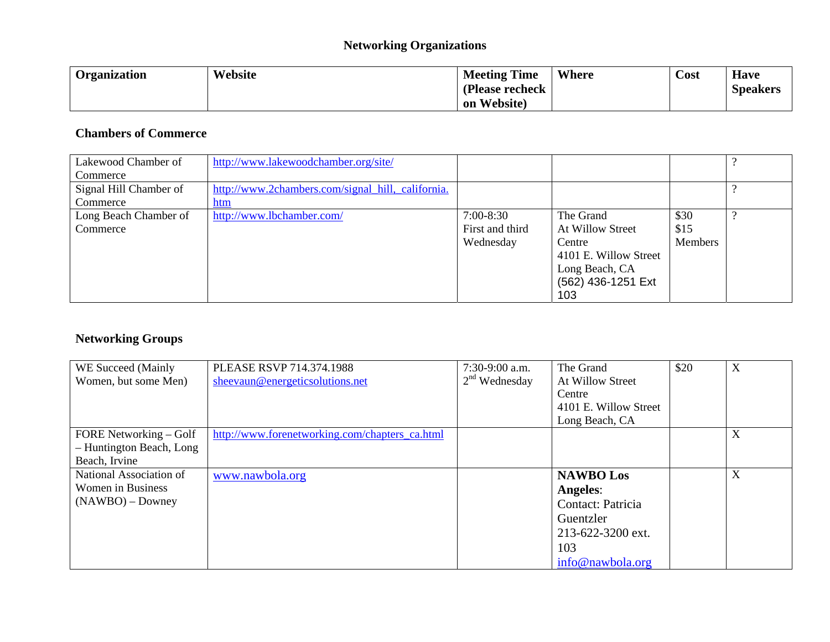### **Networking Organizations**

| Organization | Website | <b>Meeting Time</b> | Where | Cost | <b>Have</b>     |
|--------------|---------|---------------------|-------|------|-----------------|
|              |         | (Please recheck     |       |      | <b>Speakers</b> |
|              |         | Website)<br>on      |       |      |                 |

### **Chambers of Commerce**

| Lakewood Chamber of    | http://www.lakewoodchamber.org/site/              |                 |                       |         |  |
|------------------------|---------------------------------------------------|-----------------|-----------------------|---------|--|
| Commerce               |                                                   |                 |                       |         |  |
| Signal Hill Chamber of | http://www.2chambers.com/signal_hill,_california. |                 |                       |         |  |
| Commerce               | htm                                               |                 |                       |         |  |
| Long Beach Chamber of  | http://www.lbchamber.com/                         | $7:00-8:30$     | The Grand             | \$30    |  |
| Commerce               |                                                   | First and third | At Willow Street      | \$15    |  |
|                        |                                                   | Wednesday       | Centre                | Members |  |
|                        |                                                   |                 | 4101 E. Willow Street |         |  |
|                        |                                                   |                 | Long Beach, CA        |         |  |
|                        |                                                   |                 | (562) 436-1251 Ext    |         |  |
|                        |                                                   |                 | 103                   |         |  |

### **Networking Groups**

| WE Succeed (Mainly       | PLEASE RSVP 714.374.1988                       | $7:30-9:00$ a.m. | The Grand             | \$20 | X |
|--------------------------|------------------------------------------------|------------------|-----------------------|------|---|
| Women, but some Men)     | sheevaun@energeticsolutions.net                | $2nd$ Wednesday  | At Willow Street      |      |   |
|                          |                                                |                  | Centre                |      |   |
|                          |                                                |                  | 4101 E. Willow Street |      |   |
|                          |                                                |                  | Long Beach, CA        |      |   |
| FORE Networking – Golf   | http://www.forenetworking.com/chapters_ca.html |                  |                       |      | X |
| - Huntington Beach, Long |                                                |                  |                       |      |   |
| Beach, Irvine            |                                                |                  |                       |      |   |
| National Association of  | www.nawbola.org                                |                  | <b>NAWBO</b> Los      |      | X |
| <b>Women</b> in Business |                                                |                  | Angeles:              |      |   |
| $(NAWBO)$ – Downey       |                                                |                  | Contact: Patricia     |      |   |
|                          |                                                |                  | Guentzler             |      |   |
|                          |                                                |                  | 213-622-3200 ext.     |      |   |
|                          |                                                |                  | 103                   |      |   |
|                          |                                                |                  | info@nawbola.org      |      |   |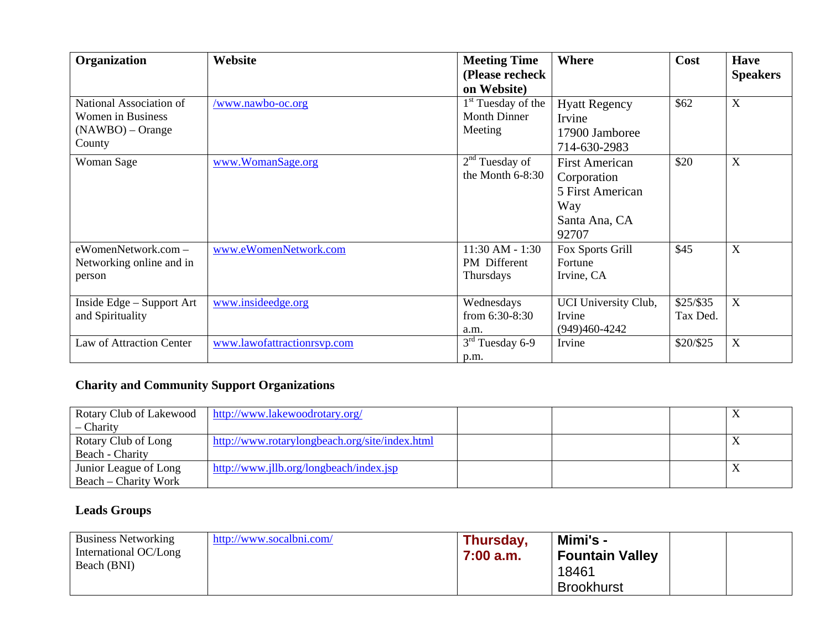| Organization                                                                        | Website                     | <b>Meeting Time</b><br>(Please recheck<br>on Website)            | Where                                                                                     | Cost                    | <b>Have</b><br><b>Speakers</b> |
|-------------------------------------------------------------------------------------|-----------------------------|------------------------------------------------------------------|-------------------------------------------------------------------------------------------|-------------------------|--------------------------------|
| National Association of<br><b>Women in Business</b><br>$(NAWBO)$ – Orange<br>County | www.nawbo-oc.org            | 1 <sup>st</sup> Tuesday of the<br><b>Month Dinner</b><br>Meeting | <b>Hyatt Regency</b><br>Irvine<br>17900 Jamboree<br>714-630-2983                          | \$62                    | $\mathbf X$                    |
| Woman Sage                                                                          | www.WomanSage.org           | 2 <sup>nd</sup> Tuesday of<br>the Month $6-8:30$                 | <b>First American</b><br>Corporation<br>5 First American<br>Way<br>Santa Ana, CA<br>92707 | \$20                    | $\mathbf X$                    |
| eWomenNetwork.com -<br>Networking online and in<br>person                           | www.eWomenNetwork.com       | $11:30$ AM - $1:30$<br><b>PM</b> Different<br>Thursdays          | Fox Sports Grill<br>Fortune<br>Irvine, CA                                                 | \$45                    | X                              |
| Inside Edge - Support Art<br>and Spirituality                                       | www.insideedge.org          | Wednesdays<br>from $6:30-8:30$<br>a.m.                           | UCI University Club,<br>Irvine<br>$(949)460-4242$                                         | $$25/$ \$35<br>Tax Ded. | X                              |
| Law of Attraction Center                                                            | www.lawofattractionrsvp.com | $3rd$ Tuesday 6-9<br>p.m.                                        | Irvine                                                                                    | \$20/\$25               | $\mathbf X$                    |

# **Charity and Community Support Organizations**

| Rotary Club of Lakewood | http://www.lakewoodrotary.org/                 |  |  |
|-------------------------|------------------------------------------------|--|--|
| – Charity               |                                                |  |  |
| Rotary Club of Long     | http://www.rotarylongbeach.org/site/index.html |  |  |
| Beach - Charity         |                                                |  |  |
| Junior League of Long   | http://www.jllb.org/longbeach/index.jsp        |  |  |
| Beach – Charity Work    |                                                |  |  |

# **Leads Groups**

| <b>Business Networking</b><br>International OC/Long | http://www.socalbni.com/ | Thursday,<br>7:00 a.m. | Mimi's -<br><b>Fountain Valley</b> |  |
|-----------------------------------------------------|--------------------------|------------------------|------------------------------------|--|
| Beach (BNI)                                         |                          |                        | 18461<br><b>Brookhurst</b>         |  |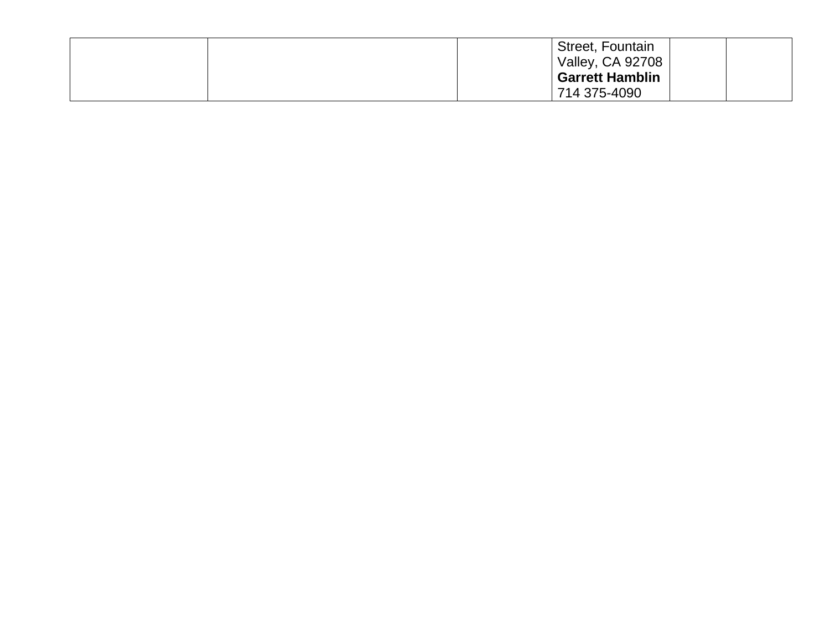|  | Street, Fountain        |  |
|--|-------------------------|--|
|  | <b>Valley, CA 92708</b> |  |
|  | <b>Garrett Hamblin</b>  |  |
|  | 714 375-4090            |  |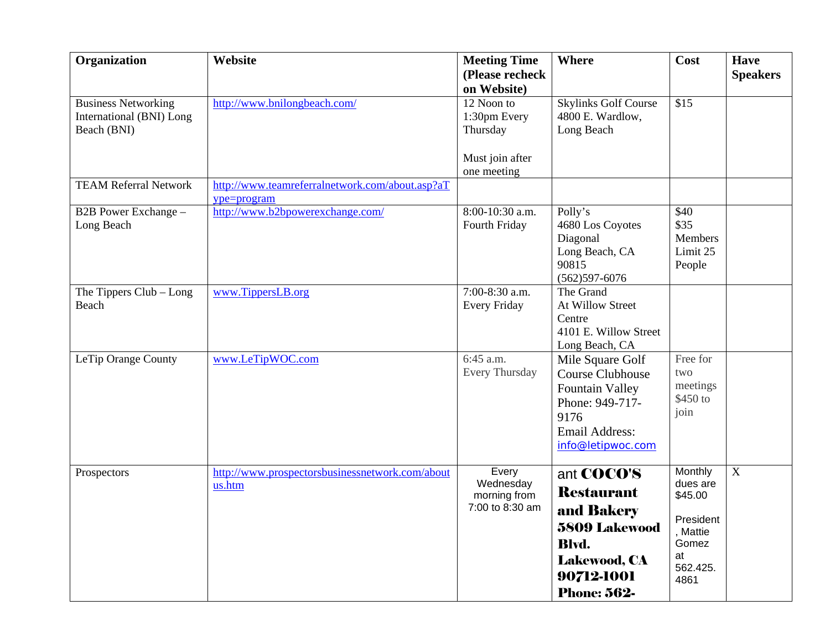| Organization                                                          | Website                                                        | <b>Meeting Time</b><br>(Please recheck<br>on Website)                    | <b>Where</b>                                                                                                                                            | Cost                                                                                       | <b>Have</b><br><b>Speakers</b> |
|-----------------------------------------------------------------------|----------------------------------------------------------------|--------------------------------------------------------------------------|---------------------------------------------------------------------------------------------------------------------------------------------------------|--------------------------------------------------------------------------------------------|--------------------------------|
| <b>Business Networking</b><br>International (BNI) Long<br>Beach (BNI) | http://www.bnilongbeach.com/                                   | 12 Noon to<br>1:30pm Every<br>Thursday<br>Must join after<br>one meeting | <b>Skylinks Golf Course</b><br>4800 E. Wardlow,<br>Long Beach                                                                                           | \$15                                                                                       |                                |
| <b>TEAM Referral Network</b>                                          | http://www.teamreferralnetwork.com/about.asp?aT<br>ype=program |                                                                          |                                                                                                                                                         |                                                                                            |                                |
| B2B Power Exchange -<br>Long Beach                                    | http://www.b2bpowerexchange.com/                               | 8:00-10:30 a.m.<br>Fourth Friday                                         | Polly's<br>4680 Los Coyotes<br>Diagonal<br>Long Beach, CA<br>90815<br>$(562)597 - 6076$                                                                 | \$40<br>\$35<br><b>Members</b><br>Limit 25<br>People                                       |                                |
| The Tippers $Club - Long$<br>Beach                                    | www.TippersLB.org                                              | 7:00-8:30 a.m.<br><b>Every Friday</b>                                    | The Grand<br>At Willow Street<br>Centre<br>4101 E. Willow Street<br>Long Beach, CA                                                                      |                                                                                            |                                |
| LeTip Orange County                                                   | www.LeTipWOC.com                                               | 6:45 a.m.<br>Every Thursday                                              | Mile Square Golf<br><b>Course Clubhouse</b><br><b>Fountain Valley</b><br>Phone: 949-717-<br>9176<br><b>Email Address:</b><br>info@letipwoc.com          | Free for<br>two<br>meetings<br>\$450 to<br>join                                            |                                |
| Prospectors                                                           | http://www.prospectorsbusinessnetwork.com/about<br>us.htm      | Every<br>Wednesday<br>morning from<br>7:00 to 8:30 am                    | ant <b>COCO'S</b><br><b>Restaurant</b><br>and Bakery<br><b>5809 Lakewood</b><br><b>Blvd.</b><br><b>Lakewood, CA</b><br>90712-1001<br><b>Phone: 562-</b> | Monthly<br>dues are<br>\$45.00<br>President<br>, Mattie<br>Gomez<br>at<br>562.425.<br>4861 | $\mathbf X$                    |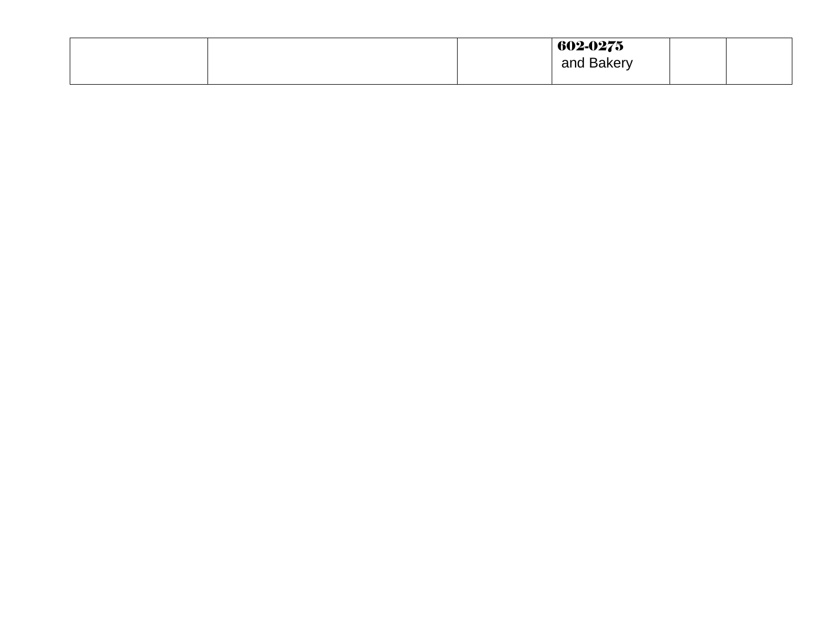|  | 602-0275   |  |
|--|------------|--|
|  | and Bakery |  |
|  |            |  |